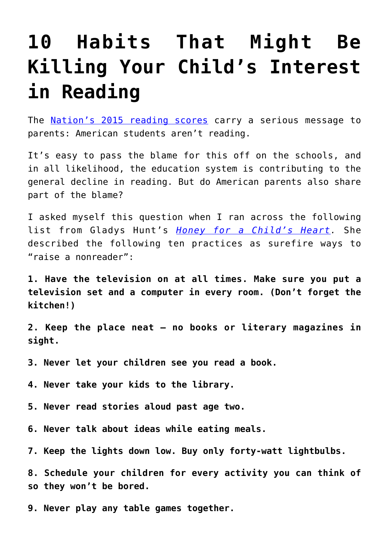## **[10 Habits That Might Be](https://intellectualtakeout.org/2016/04/10-habits-that-might-be-killing-your-childs-interest-in-reading/) [Killing Your Child's Interest](https://intellectualtakeout.org/2016/04/10-habits-that-might-be-killing-your-childs-interest-in-reading/) [in Reading](https://intellectualtakeout.org/2016/04/10-habits-that-might-be-killing-your-childs-interest-in-reading/)**

The **[Nation's 2015 reading scores](http://www.nationsreportcard.gov/reading_math_g12_2015/#reading?grade=12)** carry a serious message to parents: American students aren't reading.

It's easy to pass the blame for this off on the schools, and in all likelihood, the education system is contributing to the general decline in reading. But do American parents also share part of the blame?

I asked myself this question when I ran across the following list from Gladys Hunt's *[Honey for a Child's Heart](http://www.amazon.com/gp/product/0310242460/ref=as_li_qf_sp_asin_il_tl?ie=UTF8&camp=1789&creative=9325&creativeASIN=0310242460&linkCode=as2&tag=intelltakeo0d-20&linkId=ZGS3OYWPOBGZPAKY).* She described the following ten practices as surefire ways to "raise a nonreader":

**1. Have the television on at all times. Make sure you put a television set and a computer in every room. (Don't forget the kitchen!)**

**2. Keep the place neat – no books or literary magazines in sight.**

**3. Never let your children see you read a book.**

**4. Never take your kids to the library.**

**5. Never read stories aloud past age two.**

**6. Never talk about ideas while eating meals.**

**7. Keep the lights down low. Buy only forty-watt lightbulbs.**

**8. Schedule your children for every activity you can think of so they won't be bored.**

**9. Never play any table games together.**